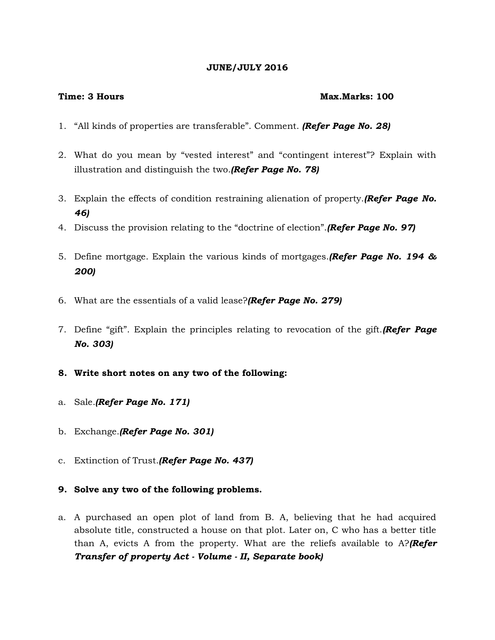#### **JUNE/JULY 2016**

#### **Time: 3 Hours Max.Marks: 100**

- 1. "All kinds of properties are transferable". Comment. *(Refer Page No. 28)*
- 2. What do you mean by "vested interest" and "contingent interest"? Explain with illustration and distinguish the two.*(Refer Page No. 78)*
- 3. Explain the effects of condition restraining alienation of property.*(Refer Page No. 46)*
- 4. Discuss the provision relating to the "doctrine of election".*(Refer Page No. 97)*
- 5. Define mortgage. Explain the various kinds of mortgages.*(Refer Page No. 194 & 200)*
- 6. What are the essentials of a valid lease?*(Refer Page No. 279)*
- 7. Define "gift". Explain the principles relating to revocation of the gift.*(Refer Page No. 303)*
- **8. Write short notes on any two of the following:**
- a. Sale.*(Refer Page No. 171)*
- b. Exchange.*(Refer Page No. 301)*
- c. Extinction of Trust.*(Refer Page No. 437)*
- **9. Solve any two of the following problems.**
- a. A purchased an open plot of land from B. A, believing that he had acquired absolute title, constructed a house on that plot. Later on, C who has a better title than A, evicts A from the property. What are the reliefs available to A?*(Refer Transfer of property Act - Volume - II, Separate book)*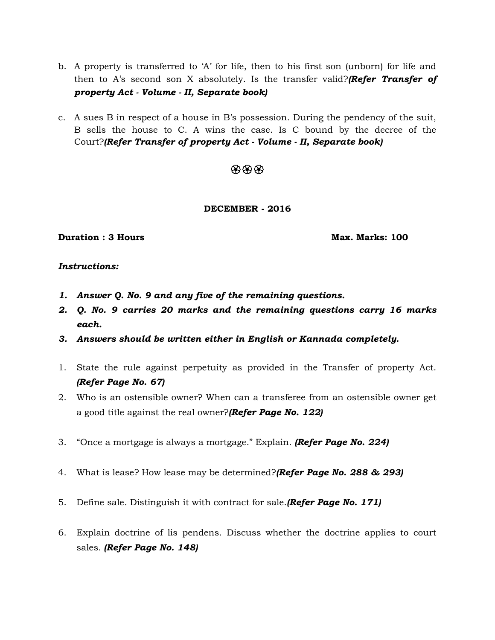- b. A property is transferred to 'A' for life, then to his first son (unborn) for life and then to A's second son X absolutely. Is the transfer valid?*(Refer Transfer of property Act - Volume - II, Separate book)*
- c. A sues B in respect of a house in B's possession. During the pendency of the suit, B sells the house to C. A wins the case. Is C bound by the decree of the Court?*(Refer Transfer of property Act - Volume - II, Separate book)*

# 498949

## **DECEMBER - 2016**

#### **Duration : 3 Hours Max. Marks: 100**

#### *Instructions:*

- *1. Answer Q. No. 9 and any five of the remaining questions.*
- *2. Q. No. 9 carries 20 marks and the remaining questions carry 16 marks each.*
- *3. Answers should be written either in English or Kannada completely.*
- 1. State the rule against perpetuity as provided in the Transfer of property Act. *(Refer Page No. 67)*
- 2. Who is an ostensible owner? When can a transferee from an ostensible owner get a good title against the real owner?*(Refer Page No. 122)*
- 3. "Once a mortgage is always a mortgage." Explain. *(Refer Page No. 224)*
- 4. What is lease? How lease may be determined?*(Refer Page No. 288 & 293)*
- 5. Define sale. Distinguish it with contract for sale.*(Refer Page No. 171)*
- 6. Explain doctrine of lis pendens. Discuss whether the doctrine applies to court sales. *(Refer Page No. 148)*